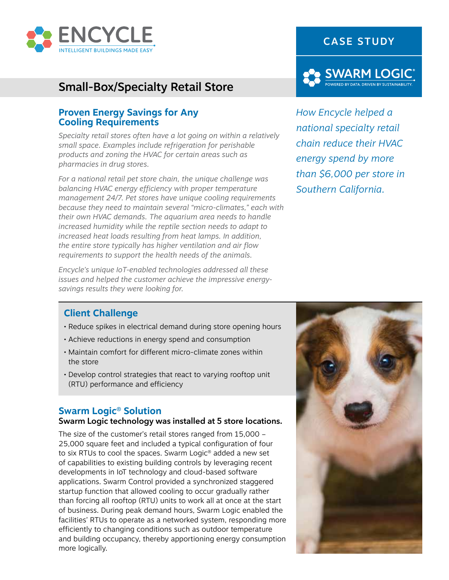

# Small-Box/Specialty Retail Store

### **Proven Energy Savings for Any Cooling Requirements**

*Specialty retail stores often have a lot going on within a relatively small space. Examples include refrigeration for perishable products and zoning the HVAC for certain areas such as pharmacies in drug stores.*

*For a national retail pet store chain, the unique challenge was balancing HVAC energy efficiency with proper temperature management 24/7. Pet stores have unique cooling requirements because they need to maintain several "micro-climates," each with their own HVAC demands. The aquarium area needs to handle increased humidity while the reptile section needs to adapt to increased heat loads resulting from heat lamps. In addition, the entire store typically has higher ventilation and air flow requirements to support the health needs of the animals.* 

*Encycle's unique IoT-enabled technologies addressed all these issues and helped the customer achieve the impressive energysavings results they were looking for.*

## CASE STUDY



*How Encycle helped a national specialty retail chain reduce their HVAC energy spend by more than \$6,000 per store in Southern California.*

## **Client Challenge**

- Reduce spikes in electrical demand during store opening hours
- Achieve reductions in energy spend and consumption
- Maintain comfort for different micro-climate zones within the store
- Develop control strategies that react to varying rooftop unit (RTU) performance and efficiency

## **Swarm Logic® Solution**

#### **Swarm Logic technology was installed at 5 store locations.**

The size of the customer's retail stores ranged from 15,000 – 25,000 square feet and included a typical configuration of four to six RTUs to cool the spaces. Swarm Logic® added a new set of capabilities to existing building controls by leveraging recent developments in IoT technology and cloud-based software applications. Swarm Control provided a synchronized staggered startup function that allowed cooling to occur gradually rather than forcing all rooftop (RTU) units to work all at once at the start of business. During peak demand hours, Swarm Logic enabled the facilities' RTUs to operate as a networked system, responding more efficiently to changing conditions such as outdoor temperature and building occupancy, thereby apportioning energy consumption more logically.